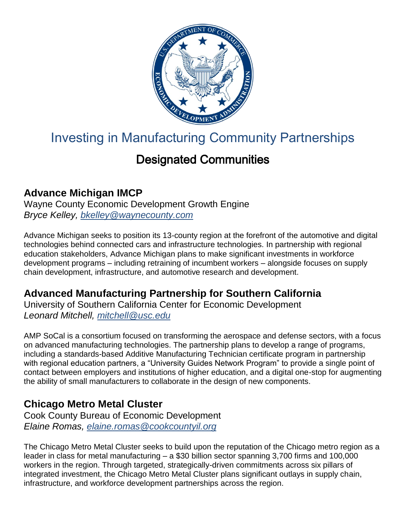

# Investing in Manufacturing Community Partnerships

# Designated Communities

#### **Advance Michigan IMCP**

Wayne County Economic Development Growth Engine *Bryce Kelley, [bkelley@waynecounty.com](mailto:bkelley@waynecounty.com)*

Advance Michigan seeks to position its 13-county region at the forefront of the automotive and digital technologies behind connected cars and infrastructure technologies. In partnership with regional education stakeholders, Advance Michigan plans to make significant investments in workforce development programs – including retraining of incumbent workers – alongside focuses on supply chain development, infrastructure, and automotive research and development.

# **Advanced Manufacturing Partnership for Southern California**

University of Southern California Center for Economic Development *Leonard Mitchell, [mitchell@usc.edu](mailto:mitchell@usc.edu)*

AMP SoCal is a consortium focused on transforming the aerospace and defense sectors, with a focus on advanced manufacturing technologies. The partnership plans to develop a range of programs, including a standards-based Additive Manufacturing Technician certificate program in partnership with regional education partners, a "University Guides Network Program" to provide a single point of contact between employers and institutions of higher education, and a digital one-stop for augmenting the ability of small manufacturers to collaborate in the design of new components.

#### **Chicago Metro Metal Cluster**

Cook County Bureau of Economic Development *Elaine Romas, [elaine.romas@cookcountyil.org](mailto:elaine.romas@cookcountyil.org)*

The Chicago Metro Metal Cluster seeks to build upon the reputation of the Chicago metro region as a leader in class for metal manufacturing – a \$30 billion sector spanning 3,700 firms and 100,000 workers in the region. Through targeted, strategically-driven commitments across six pillars of integrated investment, the Chicago Metro Metal Cluster plans significant outlays in supply chain, infrastructure, and workforce development partnerships across the region.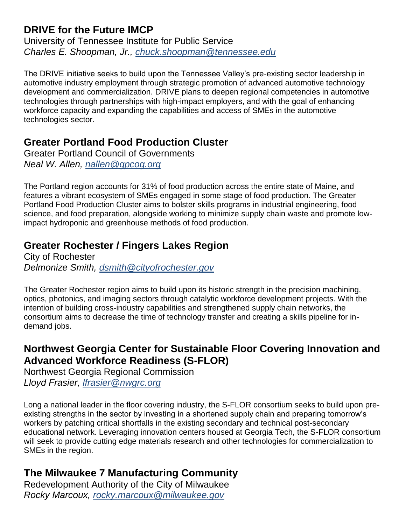#### **DRIVE for the Future IMCP**

University of Tennessee Institute for Public Service *Charles E. Shoopman, Jr., [chuck.shoopman@tennessee.edu](mailto:chuck.shoopman@tennessee.edu)*

The DRIVE initiative seeks to build upon the Tennessee Valley's pre-existing sector leadership in automotive industry employment through strategic promotion of advanced automotive technology development and commercialization. DRIVE plans to deepen regional competencies in automotive technologies through partnerships with high-impact employers, and with the goal of enhancing workforce capacity and expanding the capabilities and access of SMEs in the automotive technologies sector.

#### **Greater Portland Food Production Cluster**

Greater Portland Council of Governments *Neal W. Allen, [nallen@gpcog.org](mailto:nallen@gpcog.org)*

The Portland region accounts for 31% of food production across the entire state of Maine, and features a vibrant ecosystem of SMEs engaged in some stage of food production. The Greater Portland Food Production Cluster aims to bolster skills programs in industrial engineering, food science, and food preparation, alongside working to minimize supply chain waste and promote lowimpact hydroponic and greenhouse methods of food production.

# **Greater Rochester / Fingers Lakes Region**

City of Rochester *Delmonize Smith, [dsmith@cityofrochester.gov](mailto:dsmith@cityofrochester.gov)*

The Greater Rochester region aims to build upon its historic strength in the precision machining, optics, photonics, and imaging sectors through catalytic workforce development projects. With the intention of building cross-industry capabilities and strengthened supply chain networks, the consortium aims to decrease the time of technology transfer and creating a skills pipeline for indemand jobs.

#### **Northwest Georgia Center for Sustainable Floor Covering Innovation and Advanced Workforce Readiness (S-FLOR)**

Northwest Georgia Regional Commission *Lloyd Frasier, [lfrasier@nwgrc.org](mailto:lfrasier@nwgrc.org)*

Long a national leader in the floor covering industry, the S-FLOR consortium seeks to build upon preexisting strengths in the sector by investing in a shortened supply chain and preparing tomorrow's workers by patching critical shortfalls in the existing secondary and technical post-secondary educational network. Leveraging innovation centers housed at Georgia Tech, the S-FLOR consortium will seek to provide cutting edge materials research and other technologies for commercialization to SMEs in the region.

# **The Milwaukee 7 Manufacturing Community**

Redevelopment Authority of the City of Milwaukee *Rocky Marcoux, [rocky.marcoux@milwaukee.gov](mailto:rocky.marcoux@milwaukee.gov)*